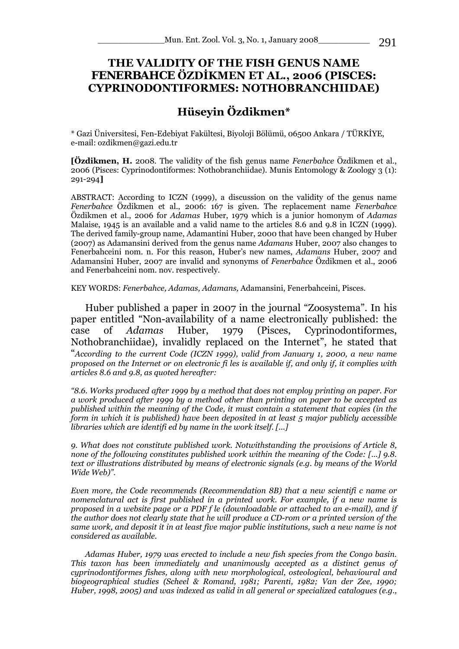## **THE VALIDITY OF THE FISH GENUS NAME**  *FENERBAHCE* **ÖZDİKMEN ET AL., 2006 (PISCES: CYPRINODONTIFORMES: NOTHOBRANCHIIDAE)**

## **Hüseyin Özdikmen\***

\* Gazi Üniversitesi, Fen-Edebiyat Fakültesi, Biyoloji Bölümü, 06500 Ankara / TÜRKİYE, e-mail: ozdikmen@gazi.edu.tr

**[Özdikmen, H.** 2008. The validity of the fish genus name *Fenerbahce* Özdikmen et al., 2006 (Pisces: Cyprinodontiformes: Nothobranchiidae). Munis Entomology & Zoology 3 (1): 291-294**]** 

ABSTRACT: According to ICZN (1999), a discussion on the validity of the genus name *Fenerbahce* Özdikmen et al., 2006: 167 is given. The replacement name *Fenerbahce* Özdikmen et al., 2006 for *Adamas* Huber, 1979 which is a junior homonym of *Adamas* Malaise, 1945 is an available and a valid name to the articles 8.6 and 9.8 in ICZN (1999). The derived family-group name, Adamantini Huber, 2000 that have been changed by Huber (2007) as Adamansini derived from the genus name *Adamans* Huber, 2007 also changes to Fenerbahceini nom. n. For this reason, Huber's new names, *Adamans* Huber, 2007 and Adamansini Huber, 2007 are invalid and synonyms of *Fenerbahce* Özdikmen et al., 2006 and Fenerbahceini nom. nov. respectively.

KEY WORDS: *Fenerbahce, Adamas, Adamans,* Adamansini, Fenerbahceini, Pisces.

Huber published a paper in 2007 in the journal "Zoosystema". In his paper entitled "Non-availability of a name electronically published: the case of *Adamas* Huber, 1979 (Pisces, Cyprinodontiformes, Nothobranchiidae), invalidly replaced on the Internet", he stated that "*According to the current Code (ICZN 1999), valid from January 1, 2000, a new name proposed on the Internet or on electronic fi les is available if, and only if, it complies with articles 8.6 and 9.8, as quoted hereafter:* 

*"8.6. Works produced after 1999 by a method that does not employ printing on paper. For a work produced after 1999 by a method other than printing on paper to be accepted as published within the meaning of the Code, it must contain a statement that copies (in the form in which it is published) have been deposited in at least 5 major publicly accessible libraries which are identifi ed by name in the work itself. [...]* 

*9. What does not constitute published work. Notwithstanding the provisions of Article 8, none of the following constitutes published work within the meaning of the Code: [...] 9.8. text or illustrations distributed by means of electronic signals (e.g. by means of the World Wide Web)".* 

*Even more, the Code recommends (Recommendation 8B) that a new scientifi c name or nomenclatural act is first published in a printed work. For example, if a new name is proposed in a website page or a PDF f le (downloadable or attached to an e-mail), and if the author does not clearly state that he will produce a CD-rom or a printed version of the same work, and deposit it in at least five major public institutions, such a new name is not considered as available.* 

*Adamas Huber, 1979 was erected to include a new fish species from the Congo basin. This taxon has been immediately and unanimously accepted as a distinct genus of cyprinodontiformes fishes, along with new morphological, osteological, behavioural and biogeographical studies (Scheel & Romand, 1981; Parenti, 1982; Van der Zee, 1990; Huber, 1998, 2005) and was indexed as valid in all general or specialized catalogues (e.g.,*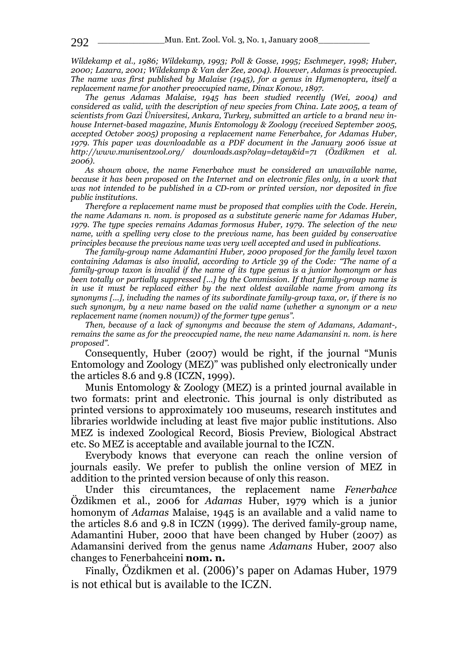*Wildekamp et al., 1986; Wildekamp, 1993; Poll & Gosse, 1995; Eschmeyer, 1998; Huber, 2000; Lazara, 2001; Wildekamp & Van der Zee, 2004). However, Adamas is preoccupied. The name was first published by Malaise (1945), for a genus in Hymenoptera, itself a replacement name for another preoccupied name, Dinax Konow, 1897.* 

*The genus Adamas Malaise, 1945 has been studied recently (Wei, 2004) and considered as valid, with the description of new species from China. Late 2005, a team of scientists from Gazi Üniversitesi, Ankara, Turkey, submitted an article to a brand new inhouse Internet-based magazine, Munis Entomology & Zoology (received September 2005, accepted October 2005) proposing a replacement name Fenerbahce, for Adamas Huber, 1979. This paper was downloadable as a PDF document in the January 2006 issue at http://www.munisentzool.org/ downloads.asp?olay=detay&id=71 (Özdikmen et al. 2006).* 

*As shown above, the name Fenerbahce must be considered an unavailable name, because it has been proposed on the Internet and on electronic files only, in a work that was not intended to be published in a CD-rom or printed version, nor deposited in five public institutions.* 

*Therefore a replacement name must be proposed that complies with the Code. Herein, the name Adamans n. nom. is proposed as a substitute generic name for Adamas Huber, 1979. The type species remains Adamas formosus Huber, 1979. The selection of the new name, with a spelling very close to the previous name, has been guided by conservative principles because the previous name was very well accepted and used in publications.* 

*The family-group name Adamantini Huber, 2000 proposed for the family level taxon containing Adamas is also invalid, according to Article 39 of the Code: "The name of a family-group taxon is invalid if the name of its type genus is a junior homonym or has been totally or partially suppressed [...] by the Commission. If that family-group name is in use it must be replaced either by the next oldest available name from among its synonyms [...], including the names of its subordinate family-group taxa, or, if there is no such synonym, by a new name based on the valid name (whether a synonym or a new replacement name (nomen novum)) of the former type genus".* 

*Then, because of a lack of synonyms and because the stem of Adamans, Adamant-, remains the same as for the preoccupied name, the new name Adamansini n. nom. is here proposed".* 

Consequently, Huber (2007) would be right, if the journal "Munis Entomology and Zoology (MEZ)" was published only electronically under the articles 8.6 and 9.8 (ICZN, 1999).

Munis Entomology & Zoology (MEZ) is a printed journal available in two formats: print and electronic. This journal is only distributed as printed versions to approximately 100 museums, research institutes and libraries worldwide including at least five major public institutions. Also MEZ is indexed Zoological Record, Biosis Preview, Biological Abstract etc. So MEZ is acceptable and available journal to the ICZN.

Everybody knows that everyone can reach the online version of journals easily. We prefer to publish the online version of MEZ in addition to the printed version because of only this reason.

Under this circumtances, the replacement name *Fenerbahce* Özdikmen et al., 2006 for *Adamas* Huber, 1979 which is a junior homonym of *Adamas* Malaise, 1945 is an available and a valid name to the articles 8.6 and 9.8 in ICZN (1999). The derived family-group name, Adamantini Huber, 2000 that have been changed by Huber (2007) as Adamansini derived from the genus name *Adamans* Huber, 2007 also changes to Fenerbahceini **nom. n.** 

Finally, Özdikmen et al. (2006)'s paper on Adamas Huber, 1979 is not ethical but is available to the ICZN.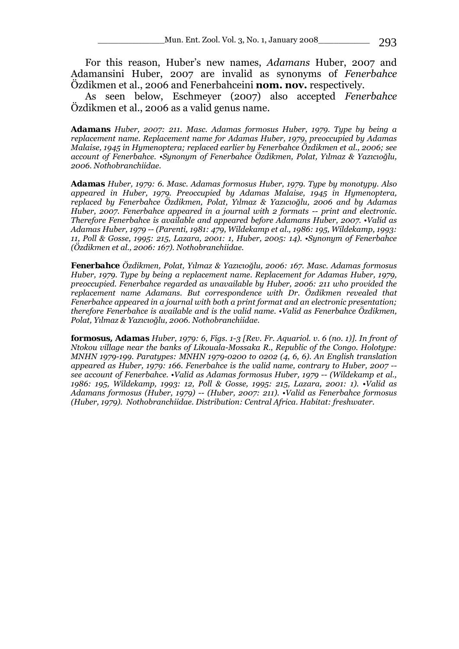For this reason, Huber's new names, *Adamans* Huber, 2007 and Adamansini Huber, 2007 are invalid as synonyms of *Fenerbahce* Özdikmen et al., 2006 and Fenerbahceini **nom. nov.** respectively.

As seen below, Eschmeyer (2007) also accepted *Fenerbahce* Özdikmen et al., 2006 as a valid genus name.

*Adamans Huber, 2007: 211. Masc. Adamas formosus Huber, 1979. Type by being a replacement name. Replacement name for Adamas Huber, 1979, preoccupied by Adamas Malaise, 1945 in Hymenoptera; replaced earlier by Fenerbahce Özdikmen et al., 2006; see account of Fenerbahce. •Synonym of Fenerbahce Özdikmen, Polat, Yılmaz & Yazıcıoğlu, 2006. Nothobranchiidae.* 

*Adamas Huber, 1979: 6. Masc. Adamas formosus Huber, 1979. Type by monotypy. Also appeared in Huber, 1979. Preoccupied by Adamas Malaise, 1945 in Hymenoptera, replaced by Fenerbahce Özdikmen, Polat, Yılmaz & Yazıcıoğlu, 2006 and by Adamas Huber, 2007. Fenerbahce appeared in a journal with 2 formats -- print and electronic. Therefore Fenerbahce is available and appeared before Adamans Huber, 2007. •Valid as Adamas Huber, 1979 -- (Parenti, 1981: 479, Wildekamp et al., 1986: 195, Wildekamp, 1993: 11, Poll & Gosse, 1995: 215, Lazara, 2001: 1, Huber, 2005: 14). •Synonym of Fenerbahce (Özdikmen et al., 2006: 167). Nothobranchiidae.* 

*Fenerbahce Özdikmen, Polat, Yılmaz & Yazıcıoğlu, 2006: 167. Masc. Adamas formosus Huber, 1979. Type by being a replacement name. Replacement for Adamas Huber, 1979, preoccupied. Fenerbahce regarded as unavailable by Huber, 2006: 211 who provided the replacement name Adamans. But correspondence with Dr. Özdikmen revealed that Fenerbahce appeared in a journal with both a print format and an electronic presentation; therefore Fenerbahce is available and is the valid name. •Valid as Fenerbahce Özdikmen, Polat, Yılmaz & Yazıcıoğlu, 2006. Nothobranchiidae.* 

*formosus, Adamas Huber, 1979: 6, Figs. 1-3 [Rev. Fr. Aquariol. v. 6 (no. 1)]. In front of Ntokou village near the banks of Likouala-Mossaka R., Republic of the Congo. Holotype: MNHN 1979-199. Paratypes: MNHN 1979-0200 to 0202 (4, 6, 6). An English translation appeared as Huber, 1979: 166. Fenerbahce is the valid name, contrary to Huber, 2007 - see account of Fenerbahce. •Valid as Adamas formosus Huber, 1979 -- (Wildekamp et al., 1986: 195, Wildekamp, 1993: 12, Poll & Gosse, 1995: 215, Lazara, 2001: 1). •Valid as Adamans formosus (Huber, 1979) -- (Huber, 2007: 211). •Valid as Fenerbahce formosus (Huber, 1979). Nothobranchiidae. Distribution: Central Africa. Habitat: freshwater.*